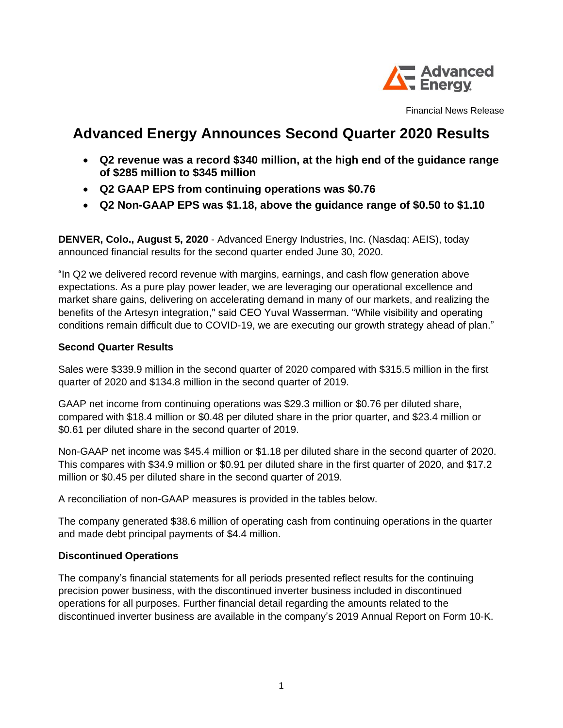

Financial News Release

# **Advanced Energy Announces Second Quarter 2020 Results**

- **Q2 revenue was a record \$340 million, at the high end of the guidance range of \$285 million to \$345 million**
- **Q2 GAAP EPS from continuing operations was \$0.76**
- **Q2 Non-GAAP EPS was \$1.18, above the guidance range of \$0.50 to \$1.10**

**DENVER, Colo., August 5, 2020** - Advanced Energy Industries, Inc. (Nasdaq: AEIS), today announced financial results for the second quarter ended June 30, 2020.

"In Q2 we delivered record revenue with margins, earnings, and cash flow generation above expectations. As a pure play power leader, we are leveraging our operational excellence and market share gains, delivering on accelerating demand in many of our markets, and realizing the benefits of the Artesyn integration," said CEO Yuval Wasserman. "While visibility and operating conditions remain difficult due to COVID-19, we are executing our growth strategy ahead of plan."

### **Second Quarter Results**

Sales were \$339.9 million in the second quarter of 2020 compared with \$315.5 million in the first quarter of 2020 and \$134.8 million in the second quarter of 2019.

GAAP net income from continuing operations was \$29.3 million or \$0.76 per diluted share, compared with \$18.4 million or \$0.48 per diluted share in the prior quarter, and \$23.4 million or \$0.61 per diluted share in the second quarter of 2019.

Non-GAAP net income was \$45.4 million or \$1.18 per diluted share in the second quarter of 2020. This compares with \$34.9 million or \$0.91 per diluted share in the first quarter of 2020, and \$17.2 million or \$0.45 per diluted share in the second quarter of 2019.

A reconciliation of non-GAAP measures is provided in the tables below.

The company generated \$38.6 million of operating cash from continuing operations in the quarter and made debt principal payments of \$4.4 million.

### **Discontinued Operations**

The company's financial statements for all periods presented reflect results for the continuing precision power business, with the discontinued inverter business included in discontinued operations for all purposes. Further financial detail regarding the amounts related to the discontinued inverter business are available in the company's 2019 Annual Report on Form 10-K.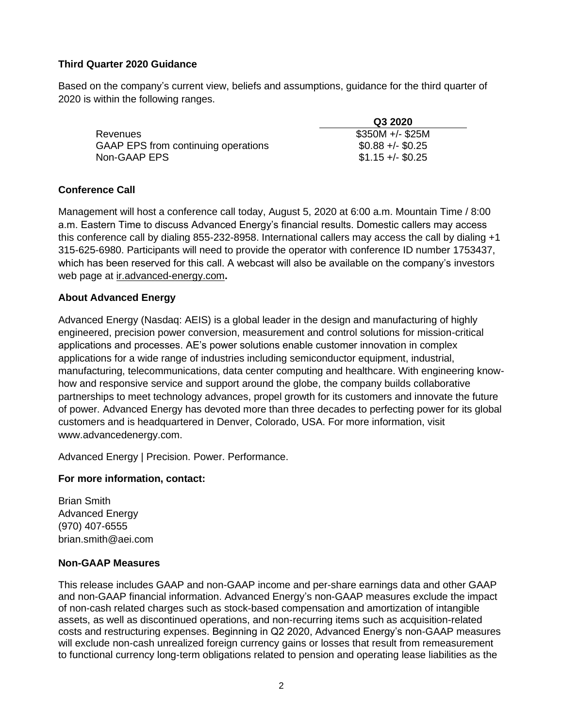### **Third Quarter 2020 Guidance**

Based on the company's current view, beliefs and assumptions, guidance for the third quarter of 2020 is within the following ranges.

|                                     | Q3 2020           |
|-------------------------------------|-------------------|
| Revenues                            | $$350M +/- $25M$  |
| GAAP EPS from continuing operations | $$0.88 +/- $0.25$ |
| Non-GAAP EPS                        | $$1.15 +/- $0.25$ |

## **Conference Call**

Management will host a conference call today, August 5, 2020 at 6:00 a.m. Mountain Time / 8:00 a.m. Eastern Time to discuss Advanced Energy's financial results. Domestic callers may access this conference call by dialing 855-232-8958. International callers may access the call by dialing +1 315-625-6980. Participants will need to provide the operator with conference ID number 1753437, which has been reserved for this call. A webcast will also be available on the company's investors web page at ir.advanced-energy.com**.**

## **About Advanced Energy**

Advanced Energy (Nasdaq: AEIS) is a global leader in the design and manufacturing of highly engineered, precision power conversion, measurement and control solutions for mission-critical applications and processes. AE's power solutions enable customer innovation in complex applications for a wide range of industries including semiconductor equipment, industrial, manufacturing, telecommunications, data center computing and healthcare. With engineering knowhow and responsive service and support around the globe, the company builds collaborative partnerships to meet technology advances, propel growth for its customers and innovate the future of power. Advanced Energy has devoted more than three decades to perfecting power for its global customers and is headquartered in Denver, Colorado, USA. For more information, visit www.advancedenergy.com.

Advanced Energy | Precision. Power. Performance.

### **For more information, contact:**

Brian Smith Advanced Energy (970) 407-6555 brian.smith@aei.com

### **Non-GAAP Measures**

This release includes GAAP and non-GAAP income and per-share earnings data and other GAAP and non-GAAP financial information. Advanced Energy's non-GAAP measures exclude the impact of non-cash related charges such as stock-based compensation and amortization of intangible assets, as well as discontinued operations, and non-recurring items such as acquisition-related costs and restructuring expenses. Beginning in Q2 2020, Advanced Energy's non-GAAP measures will exclude non-cash unrealized foreign currency gains or losses that result from remeasurement to functional currency long-term obligations related to pension and operating lease liabilities as the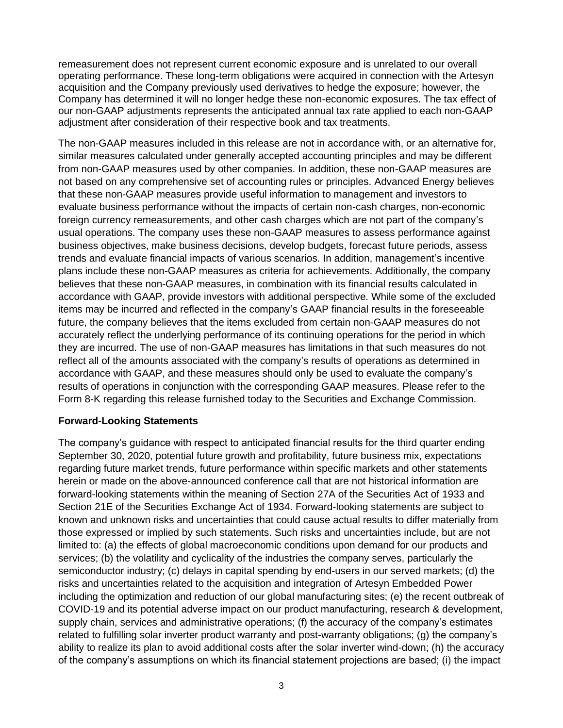remeasurement does not represent current economic exposure and is unrelated to our overall operating performance. These long-term obligations were acquired in connection with the Artesyn acquisition and the Company previously used derivatives to hedge the exposure; however, the Company has determined it will no longer hedge these non-economic exposures. The tax effect of our non-GAAP adjustments represents the anticipated annual tax rate applied to each non-GAAP adjustment after consideration of their respective book and tax treatments.

The non-GAAP measures included in this release are not in accordance with, or an alternative for, similar measures calculated under generally accepted accounting principles and may be different from non-GAAP measures used by other companies. In addition, these non-GAAP measures are not based on any comprehensive set of accounting rules or principles. Advanced Energy believes that these non-GAAP measures provide useful information to management and investors to evaluate business performance without the impacts of certain non-cash charges, non-economic foreign currency remeasurements, and other cash charges which are not part of the company's usual operations. The company uses these non-GAAP measures to assess performance against business objectives, make business decisions, develop budgets, forecast future periods, assess trends and evaluate financial impacts of various scenarios. In addition, management's incentive plans include these non-GAAP measures as criteria for achievements. Additionally, the company believes that these non-GAAP measures, in combination with its financial results calculated in accordance with GAAP, provide investors with additional perspective. While some of the excluded items may be incurred and reflected in the company's GAAP financial results in the foreseeable future, the company believes that the items excluded from certain non-GAAP measures do not accurately reflect the underlying performance of its continuing operations for the period in which they are incurred. The use of non-GAAP measures has limitations in that such measures do not reflect all of the amounts associated with the company's results of operations as determined in accordance with GAAP, and these measures should only be used to evaluate the company's results of operations in conjunction with the corresponding GAAP measures. Please refer to the Form 8-K regarding this release furnished today to the Securities and Exchange Commission.

### **Forward-Looking Statements**

The company's guidance with respect to anticipated financial results for the third quarter ending September 30, 2020, potential future growth and profitability, future business mix, expectations regarding future market trends, future performance within specific markets and other statements herein or made on the above-announced conference call that are not historical information are forward-looking statements within the meaning of Section 27A of the Securities Act of 1933 and Section 21E of the Securities Exchange Act of 1934. Forward-looking statements are subject to known and unknown risks and uncertainties that could cause actual results to differ materially from those expressed or implied by such statements. Such risks and uncertainties include, but are not limited to: (a) the effects of global macroeconomic conditions upon demand for our products and services; (b) the volatility and cyclicality of the industries the company serves, particularly the semiconductor industry; (c) delays in capital spending by end-users in our served markets; (d) the risks and uncertainties related to the acquisition and integration of Artesyn Embedded Power including the optimization and reduction of our global manufacturing sites; (e) the recent outbreak of COVID-19 and its potential adverse impact on our product manufacturing, research & development, supply chain, services and administrative operations; (f) the accuracy of the company's estimates related to fulfilling solar inverter product warranty and post-warranty obligations; (g) the company's ability to realize its plan to avoid additional costs after the solar inverter wind-down; (h) the accuracy of the company's assumptions on which its financial statement projections are based; (i) the impact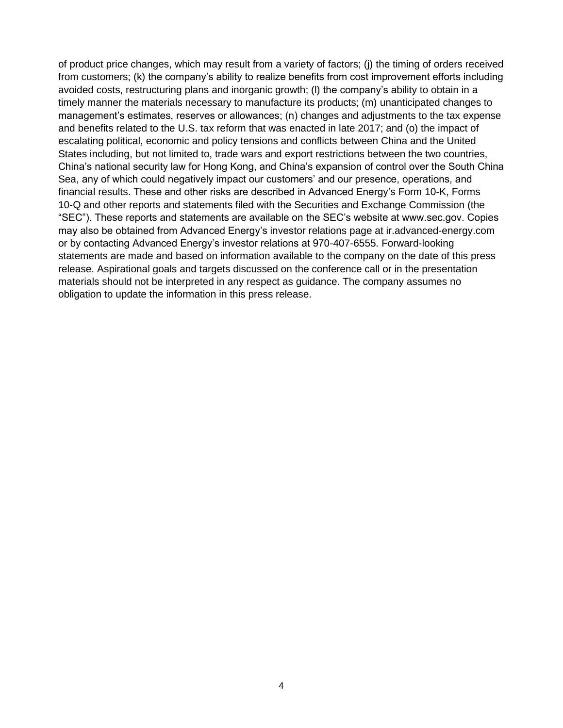of product price changes, which may result from a variety of factors; (j) the timing of orders received from customers; (k) the company's ability to realize benefits from cost improvement efforts including avoided costs, restructuring plans and inorganic growth; (l) the company's ability to obtain in a timely manner the materials necessary to manufacture its products; (m) unanticipated changes to management's estimates, reserves or allowances; (n) changes and adjustments to the tax expense and benefits related to the U.S. tax reform that was enacted in late 2017; and (o) the impact of escalating political, economic and policy tensions and conflicts between China and the United States including, but not limited to, trade wars and export restrictions between the two countries, China's national security law for Hong Kong, and China's expansion of control over the South China Sea, any of which could negatively impact our customers' and our presence, operations, and financial results. These and other risks are described in Advanced Energy's Form 10-K, Forms 10-Q and other reports and statements filed with the Securities and Exchange Commission (the "SEC"). These reports and statements are available on the SEC's website at www.sec.gov. Copies may also be obtained from Advanced Energy's investor relations page at ir.advanced-energy.com or by contacting Advanced Energy's investor relations at 970-407-6555. Forward-looking statements are made and based on information available to the company on the date of this press release. Aspirational goals and targets discussed on the conference call or in the presentation materials should not be interpreted in any respect as guidance. The company assumes no obligation to update the information in this press release.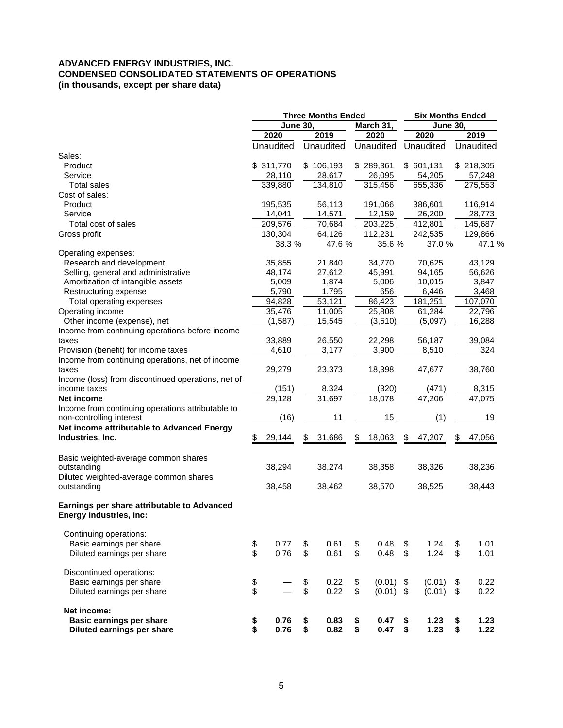#### **ADVANCED ENERGY INDUSTRIES, INC. CONDENSED CONSOLIDATED STATEMENTS OF OPERATIONS (in thousands, except per share data)**

|                                                    |                         |                 |          | <b>Three Months Ended</b> |          |              | <b>Six Months Ended</b> |                     |          |              |  |
|----------------------------------------------------|-------------------------|-----------------|----------|---------------------------|----------|--------------|-------------------------|---------------------|----------|--------------|--|
|                                                    |                         | <b>June 30,</b> |          |                           |          | March 31,    | <b>June 30,</b>         |                     |          |              |  |
|                                                    |                         | 2020            |          | 2019                      |          | 2020         |                         | 2020                |          | 2019         |  |
|                                                    |                         | Unaudited       |          | Unaudited                 |          | Unaudited    |                         | Unaudited           |          | Unaudited    |  |
| Sales:                                             |                         |                 |          |                           |          |              |                         |                     |          |              |  |
| Product                                            |                         | \$311,770       |          | \$106,193                 |          | \$289,361    |                         | \$601,131           |          | \$218,305    |  |
| Service                                            |                         | 28,110          |          | 28,617                    |          | 26,095       |                         | 54,205              |          | 57,248       |  |
| <b>Total sales</b>                                 |                         | 339,880         |          | 134,810                   |          | 315,456      |                         | 655,336             |          | 275,553      |  |
| Cost of sales:                                     |                         |                 |          |                           |          |              |                         |                     |          |              |  |
| Product                                            |                         | 195,535         |          | 56,113                    |          | 191,066      |                         | 386,601             |          | 116,914      |  |
| Service                                            |                         | 14,041          |          | 14,571                    |          | 12,159       |                         | 26,200              |          | 28,773       |  |
| Total cost of sales                                |                         | 209,576         |          | 70,684                    |          | 203,225      |                         | 412,801             |          | 145,687      |  |
| Gross profit                                       |                         | 130,304         |          | 64,126                    |          | 112,231      |                         | 242,535             |          | 129,866      |  |
|                                                    |                         | 38.3 %          |          | 47.6%                     |          | 35.6 %       |                         | 37.0%               |          | 47.1 %       |  |
| Operating expenses:                                |                         |                 |          |                           |          |              |                         |                     |          |              |  |
| Research and development                           |                         | 35,855          |          | 21,840                    |          | 34,770       |                         | 70,625              |          | 43,129       |  |
| Selling, general and administrative                |                         | 48,174          |          | 27,612                    |          | 45,991       |                         | 94,165              |          | 56,626       |  |
| Amortization of intangible assets                  |                         | 5,009           |          | 1,874                     |          | 5,006        |                         | 10,015              |          | 3,847        |  |
| Restructuring expense                              |                         | 5,790           |          | 1,795                     |          | 656          |                         | 6,446               |          | 3,468        |  |
| Total operating expenses                           |                         | 94,828          |          | 53,121                    |          | 86,423       |                         | 181,251             |          | 107,070      |  |
| Operating income                                   |                         | 35,476          |          | 11,005                    |          | 25,808       |                         | 61,284              |          | 22,796       |  |
| Other income (expense), net                        |                         | (1, 587)        |          | 15,545                    |          | (3, 510)     |                         | (5,097)             |          | 16,288       |  |
| Income from continuing operations before income    |                         |                 |          |                           |          |              |                         |                     |          |              |  |
| taxes                                              |                         | 33,889          |          | 26,550                    |          | 22,298       |                         | 56,187              |          | 39,084       |  |
| Provision (benefit) for income taxes               |                         | 4,610           |          | 3,177                     |          | 3,900        |                         | 8,510               |          | 324          |  |
| Income from continuing operations, net of income   |                         |                 |          |                           |          |              |                         |                     |          |              |  |
| taxes                                              |                         | 29,279          |          | 23,373                    |          | 18,398       |                         | 47,677              |          | 38,760       |  |
| Income (loss) from discontinued operations, net of |                         |                 |          |                           |          |              |                         |                     |          |              |  |
| income taxes                                       |                         | (151)           |          | 8,324                     |          | (320)        |                         | (471)               |          | 8,315        |  |
| Net income                                         |                         | 29,128          |          | 31,697                    |          | 18,078       |                         | $\overline{47,206}$ |          | 47,075       |  |
| Income from continuing operations attributable to  |                         |                 |          |                           |          |              |                         |                     |          |              |  |
| non-controlling interest                           |                         | (16)            |          | 11                        |          | 15           |                         | (1)                 |          | 19           |  |
| Net income attributable to Advanced Energy         |                         |                 |          |                           |          |              |                         |                     |          |              |  |
| Industries, Inc.                                   | \$                      | 29,144          | \$       | 31,686                    | \$       | 18,063       | \$                      | 47,207              | \$       | 47,056       |  |
|                                                    |                         |                 |          |                           |          |              |                         |                     |          |              |  |
| Basic weighted-average common shares               |                         |                 |          |                           |          |              |                         |                     |          |              |  |
| outstanding                                        |                         | 38,294          |          | 38,274                    |          | 38,358       |                         | 38,326              |          | 38,236       |  |
| Diluted weighted-average common shares             |                         |                 |          |                           |          |              |                         |                     |          |              |  |
| outstanding                                        |                         | 38,458          |          | 38,462                    |          | 38,570       |                         | 38,525              |          | 38,443       |  |
|                                                    |                         |                 |          |                           |          |              |                         |                     |          |              |  |
| Earnings per share attributable to Advanced        |                         |                 |          |                           |          |              |                         |                     |          |              |  |
| <b>Energy Industries, Inc:</b>                     |                         |                 |          |                           |          |              |                         |                     |          |              |  |
|                                                    |                         |                 |          |                           |          |              |                         |                     |          |              |  |
| Continuing operations:                             |                         |                 |          |                           |          |              |                         |                     |          |              |  |
| Basic earnings per share                           | \$                      | 0.77            | \$       | 0.61                      | \$       | 0.48         | \$                      | 1.24                | \$       | 1.01         |  |
| Diluted earnings per share                         | $\overline{\mathbb{S}}$ | 0.76            | \$       | 0.61                      | \$       | 0.48         | \$                      | 1.24                | \$       | 1.01         |  |
|                                                    |                         |                 |          |                           |          |              |                         |                     |          |              |  |
| Discontinued operations:                           |                         |                 |          |                           |          |              |                         |                     |          |              |  |
| Basic earnings per share                           | \$<br>\$                |                 | \$       | 0.22                      | \$       | (0.01)       | \$                      | (0.01)              | \$       | 0.22         |  |
| Diluted earnings per share                         |                         |                 | \$       | 0.22                      | \$       | (0.01)       | \$                      | (0.01)              | \$       | 0.22         |  |
|                                                    |                         |                 |          |                           |          |              |                         |                     |          |              |  |
| Net income:<br><b>Basic earnings per share</b>     |                         |                 |          |                           |          |              |                         |                     |          |              |  |
| Diluted earnings per share                         | \$<br>\$                | 0.76<br>0.76    | \$<br>\$ | 0.83<br>0.82              | \$<br>\$ | 0.47<br>0.47 | \$<br>\$                | 1.23<br>1.23        | \$<br>\$ | 1.23<br>1.22 |  |
|                                                    |                         |                 |          |                           |          |              |                         |                     |          |              |  |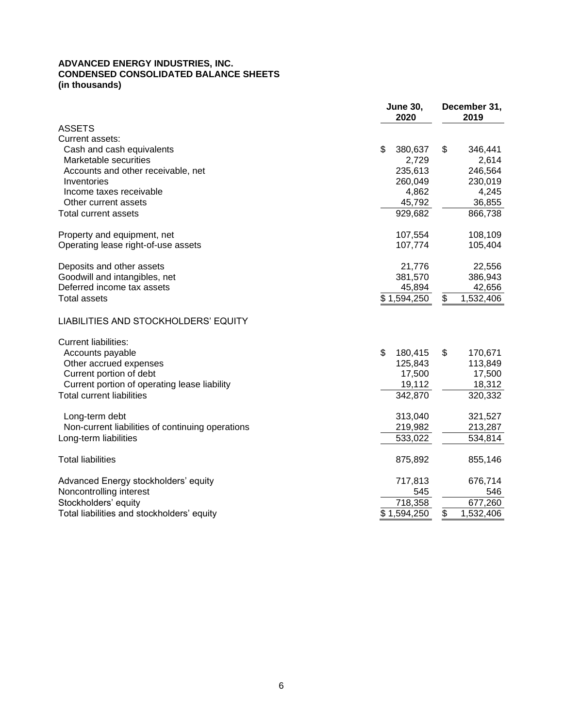#### **ADVANCED ENERGY INDUSTRIES, INC. CONDENSED CONSOLIDATED BALANCE SHEETS (in thousands)**

|                                                  | <b>June 30,</b><br>2020 | December 31,<br>2019 |  |  |
|--------------------------------------------------|-------------------------|----------------------|--|--|
| <b>ASSETS</b>                                    |                         |                      |  |  |
| Current assets:                                  |                         |                      |  |  |
| Cash and cash equivalents                        | \$<br>380,637           | \$<br>346,441        |  |  |
| Marketable securities                            | 2,729                   | 2,614                |  |  |
| Accounts and other receivable, net               | 235,613                 | 246,564              |  |  |
| Inventories                                      | 260,049                 | 230,019              |  |  |
| Income taxes receivable                          | 4,862                   | 4,245                |  |  |
| Other current assets                             | 45,792                  | 36,855               |  |  |
| Total current assets                             | 929,682                 | 866,738              |  |  |
| Property and equipment, net                      | 107,554                 | 108,109              |  |  |
| Operating lease right-of-use assets              | 107,774                 | 105,404              |  |  |
| Deposits and other assets                        | 21,776                  | 22,556               |  |  |
| Goodwill and intangibles, net                    | 381,570                 | 386,943              |  |  |
| Deferred income tax assets                       | 45,894                  | 42,656               |  |  |
| <b>Total assets</b>                              | \$1,594,250             | \$<br>1,532,406      |  |  |
| LIABILITIES AND STOCKHOLDERS' EQUITY             |                         |                      |  |  |
| <b>Current liabilities:</b>                      |                         |                      |  |  |
| Accounts payable                                 | \$<br>180,415           | \$<br>170,671        |  |  |
| Other accrued expenses                           | 125,843                 | 113,849              |  |  |
| Current portion of debt                          | 17,500                  | 17,500               |  |  |
| Current portion of operating lease liability     | 19,112                  | 18,312               |  |  |
| <b>Total current liabilities</b>                 | 342,870                 | 320,332              |  |  |
| Long-term debt                                   | 313,040                 | 321,527              |  |  |
| Non-current liabilities of continuing operations | 219,982                 | 213,287              |  |  |
| Long-term liabilities                            | 533,022                 | 534,814              |  |  |
| <b>Total liabilities</b>                         | 875,892                 | 855,146              |  |  |
| Advanced Energy stockholders' equity             | 717,813                 | 676,714              |  |  |
| Noncontrolling interest                          | 545                     | 546                  |  |  |
| Stockholders' equity                             | 718,358                 | 677,260              |  |  |
| Total liabilities and stockholders' equity       | \$1,594,250             | \$<br>1,532,406      |  |  |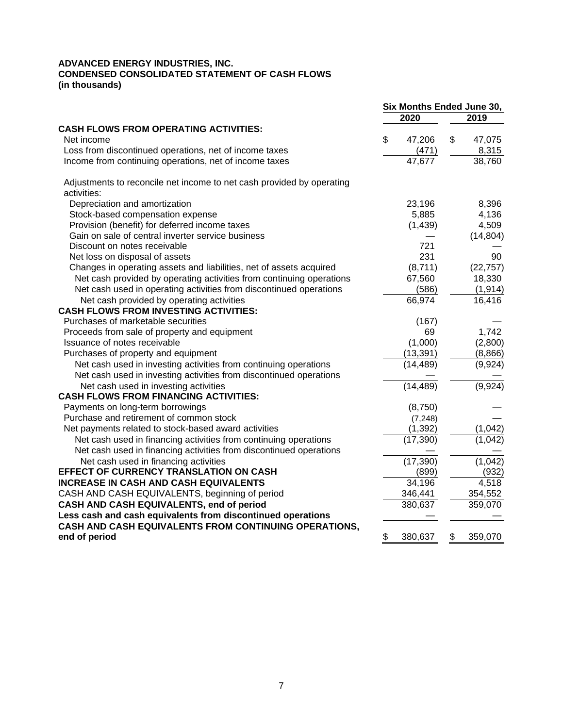#### **ADVANCED ENERGY INDUSTRIES, INC. CONDENSED CONSOLIDATED STATEMENT OF CASH FLOWS (in thousands)**

|                                                                                      | Six Months Ended June 30, |           |    |           |  |  |
|--------------------------------------------------------------------------------------|---------------------------|-----------|----|-----------|--|--|
|                                                                                      |                           | 2020      |    | 2019      |  |  |
| <b>CASH FLOWS FROM OPERATING ACTIVITIES:</b>                                         |                           |           |    |           |  |  |
| Net income                                                                           | \$                        | 47,206    | \$ | 47,075    |  |  |
| Loss from discontinued operations, net of income taxes                               |                           | (471)     |    | 8,315     |  |  |
| Income from continuing operations, net of income taxes                               |                           | 47,677    |    | 38,760    |  |  |
| Adjustments to reconcile net income to net cash provided by operating<br>activities: |                           |           |    |           |  |  |
| Depreciation and amortization                                                        |                           | 23,196    |    | 8,396     |  |  |
| Stock-based compensation expense                                                     |                           | 5,885     |    | 4,136     |  |  |
| Provision (benefit) for deferred income taxes                                        |                           | (1, 439)  |    | 4,509     |  |  |
| Gain on sale of central inverter service business                                    |                           |           |    | (14, 804) |  |  |
| Discount on notes receivable                                                         |                           | 721       |    |           |  |  |
| Net loss on disposal of assets                                                       |                           | 231       |    | 90        |  |  |
| Changes in operating assets and liabilities, net of assets acquired                  |                           | (8,711)   |    | (22, 757) |  |  |
| Net cash provided by operating activities from continuing operations                 |                           | 67,560    |    | 18,330    |  |  |
| Net cash used in operating activities from discontinued operations                   |                           | (586)     |    | (1, 914)  |  |  |
| Net cash provided by operating activities                                            |                           | 66,974    |    | 16,416    |  |  |
| <b>CASH FLOWS FROM INVESTING ACTIVITIES:</b>                                         |                           |           |    |           |  |  |
| Purchases of marketable securities                                                   |                           | (167)     |    |           |  |  |
| Proceeds from sale of property and equipment                                         |                           | 69        |    | 1,742     |  |  |
| Issuance of notes receivable                                                         |                           | (1,000)   |    | (2,800)   |  |  |
| Purchases of property and equipment                                                  |                           | (13, 391) |    | (8,866)   |  |  |
| Net cash used in investing activities from continuing operations                     |                           | (14, 489) |    | (9,924)   |  |  |
| Net cash used in investing activities from discontinued operations                   |                           |           |    |           |  |  |
| Net cash used in investing activities                                                |                           | (14, 489) |    | (9,924)   |  |  |
| <b>CASH FLOWS FROM FINANCING ACTIVITIES:</b>                                         |                           |           |    |           |  |  |
| Payments on long-term borrowings                                                     |                           | (8,750)   |    |           |  |  |
| Purchase and retirement of common stock                                              |                           | (7, 248)  |    |           |  |  |
| Net payments related to stock-based award activities                                 |                           | (1, 392)  |    | (1,042)   |  |  |
| Net cash used in financing activities from continuing operations                     |                           | (17, 390) |    | (1,042)   |  |  |
| Net cash used in financing activities from discontinued operations                   |                           |           |    |           |  |  |
| Net cash used in financing activities                                                |                           | (17, 390) |    | (1,042)   |  |  |
| <b>EFFECT OF CURRENCY TRANSLATION ON CASH</b>                                        |                           | (899)     |    | (932)     |  |  |
| <b>INCREASE IN CASH AND CASH EQUIVALENTS</b>                                         |                           | 34,196    |    | 4,518     |  |  |
| CASH AND CASH EQUIVALENTS, beginning of period                                       |                           | 346,441   |    | 354,552   |  |  |
| CASH AND CASH EQUIVALENTS, end of period                                             |                           | 380,637   |    | 359,070   |  |  |
| Less cash and cash equivalents from discontinued operations                          |                           |           |    |           |  |  |
| CASH AND CASH EQUIVALENTS FROM CONTINUING OPERATIONS,                                |                           |           |    |           |  |  |
| end of period                                                                        | \$                        | 380,637   | \$ | 359,070   |  |  |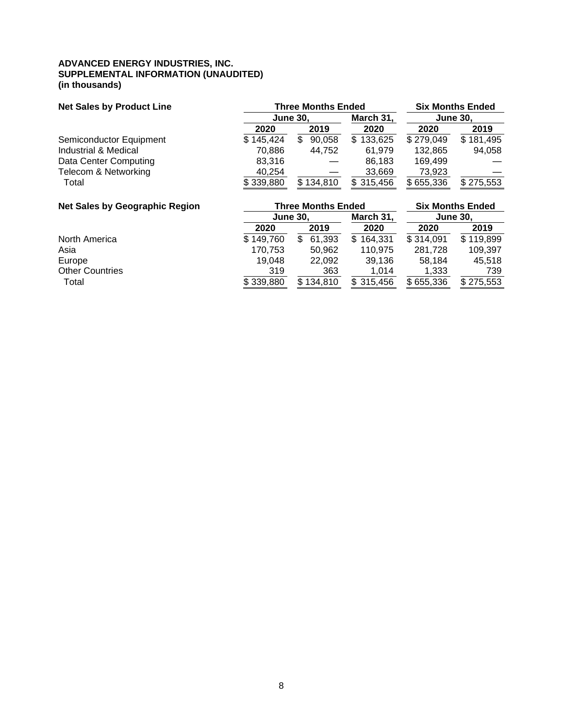#### **ADVANCED ENERGY INDUSTRIES, INC. SUPPLEMENTAL INFORMATION (UNAUDITED) (in thousands)**

| <b>Net Sales by Product Line</b> | <b>Six Months Ended</b> |                 |           |           |                 |
|----------------------------------|-------------------------|-----------------|-----------|-----------|-----------------|
|                                  |                         | <b>June 30,</b> | March 31. |           | <b>June 30.</b> |
|                                  | 2020                    | 2019            |           | 2020      | 2019            |
| Semiconductor Equipment          | \$145,424               | 90,058          | \$133,625 | \$279,049 | \$181,495       |
| Industrial & Medical             | 70.886                  | 44.752          | 61.979    | 132.865   | 94.058          |
| Data Center Computing            | 83.316                  |                 | 86.183    | 169,499   |                 |
| Telecom & Networking             | 40,254                  |                 | 33,669    | 73.923    |                 |
| Total                            | \$339,880               | 134,810         | \$315,456 | \$655,336 | \$275,553       |

| <b>Net Sales by Geographic Region</b> |           |                 | <b>Three Months Ended</b> | <b>Six Months Ended</b> |           |                 |  |
|---------------------------------------|-----------|-----------------|---------------------------|-------------------------|-----------|-----------------|--|
|                                       |           | <b>June 30.</b> |                           | March 31,               |           | <b>June 30.</b> |  |
|                                       | 2020      |                 | 2019                      | 2020                    | 2020      | 2019            |  |
| North America                         | \$149,760 |                 | 61,393                    | 164,331<br>\$.          | \$314,091 | \$119,899       |  |
| Asia                                  | 170.753   |                 | 50,962                    | 110,975                 | 281,728   | 109,397         |  |
| Europe                                | 19.048    |                 | 22,092                    | 39.136                  | 58.184    | 45,518          |  |
| <b>Other Countries</b>                | 319       |                 | 363                       | 1.014                   | 1,333     | 739             |  |
| Total                                 | \$339,880 |                 | \$134,810                 | \$315,456               | \$655,336 | \$275,553       |  |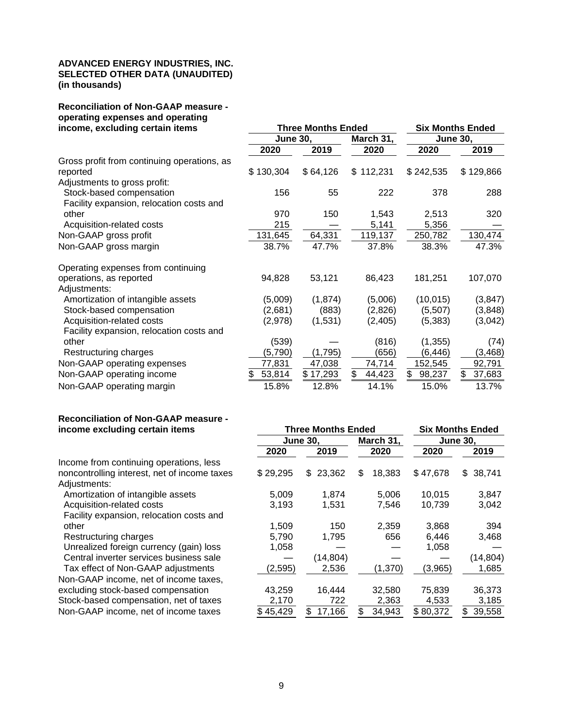#### **ADVANCED ENERGY INDUSTRIES, INC. SELECTED OTHER DATA (UNAUDITED) (in thousands)**

# **Reconciliation of Non-GAAP measure operating expenses and operating**

| income, excluding certain items             |                 | <b>Three Months Ended</b> | <b>Six Months Ended</b> |                 |              |  |  |
|---------------------------------------------|-----------------|---------------------------|-------------------------|-----------------|--------------|--|--|
|                                             | <b>June 30,</b> |                           | March 31,               | <b>June 30,</b> |              |  |  |
|                                             | 2020            | 2019                      | 2020                    | 2020            | 2019         |  |  |
| Gross profit from continuing operations, as |                 |                           |                         |                 |              |  |  |
| reported                                    | \$130,304       | \$64,126                  | \$112,231               | \$242,535       | \$129,866    |  |  |
| Adjustments to gross profit:                |                 |                           |                         |                 |              |  |  |
| Stock-based compensation                    | 156             | 55                        | 222                     | 378             | 288          |  |  |
| Facility expansion, relocation costs and    |                 |                           |                         |                 |              |  |  |
| other                                       | 970             | 150                       | 1,543                   | 2,513           | 320          |  |  |
| Acquisition-related costs                   | 215             |                           | 5,141                   | 5,356           |              |  |  |
| Non-GAAP gross profit                       | 131,645         | 64,331                    | 119,137                 | 250,782         | 130,474      |  |  |
| Non-GAAP gross margin                       | 38.7%           | 47.7%                     | 37.8%                   | 38.3%           | 47.3%        |  |  |
| Operating expenses from continuing          |                 |                           |                         |                 |              |  |  |
| operations, as reported                     | 94,828          | 53,121                    | 86,423                  | 181,251         | 107,070      |  |  |
| Adjustments:                                |                 |                           |                         |                 |              |  |  |
| Amortization of intangible assets           | (5,009)         | (1, 874)                  | (5,006)                 | (10, 015)       | (3, 847)     |  |  |
| Stock-based compensation                    | (2,681)         | (883)                     | (2,826)                 | (5,507)         | (3,848)      |  |  |
| Acquisition-related costs                   | (2,978)         | (1,531)                   | (2, 405)                | (5, 383)        | (3,042)      |  |  |
| Facility expansion, relocation costs and    |                 |                           |                         |                 |              |  |  |
| other                                       | (539)           |                           | (816)                   | (1, 355)        | (74)         |  |  |
| Restructuring charges                       | (5,790)         | (1,795)                   | (656)                   | (6,446)         | (3, 468)     |  |  |
| Non-GAAP operating expenses                 | 77,831          | 47,038                    | 74,714                  | 152,545         | 92,791       |  |  |
| Non-GAAP operating income                   | 53,814<br>\$.   | \$17,293                  | \$<br>44,423            | \$<br>98,237    | \$<br>37,683 |  |  |
| Non-GAAP operating margin                   | 15.8%           | 12.8%                     | 14.1%                   | 15.0%           | 13.7%        |  |  |

# **Reconciliation of Non-GAAP measure -**

| income excluding certain items               |          | <b>Three Months Ended</b> | <b>Six Months Ended</b> |                 |               |  |  |
|----------------------------------------------|----------|---------------------------|-------------------------|-----------------|---------------|--|--|
|                                              |          | <b>June 30,</b>           | March 31,               | <b>June 30,</b> |               |  |  |
|                                              | 2020     | 2019                      | 2020                    | 2020            | 2019          |  |  |
| Income from continuing operations, less      |          |                           |                         |                 |               |  |  |
| noncontrolling interest, net of income taxes | \$29,295 | 23,362<br>\$.             | \$<br>18,383            | \$47,678        | 38,741<br>\$. |  |  |
| Adjustments:                                 |          |                           |                         |                 |               |  |  |
| Amortization of intangible assets            | 5,009    | 1,874                     | 5,006                   | 10,015          | 3,847         |  |  |
| Acquisition-related costs                    | 3,193    | 1,531                     | 7,546                   | 10,739          | 3,042         |  |  |
| Facility expansion, relocation costs and     |          |                           |                         |                 |               |  |  |
| other                                        | 1.509    | 150                       | 2,359                   | 3,868           | 394           |  |  |
| Restructuring charges                        | 5,790    | 1,795                     | 656                     | 6,446           | 3,468         |  |  |
| Unrealized foreign currency (gain) loss      | 1,058    |                           |                         | 1,058           |               |  |  |
| Central inverter services business sale      |          | (14, 804)                 |                         |                 | (14, 804)     |  |  |
| Tax effect of Non-GAAP adjustments           | (2,595)  | 2,536                     | (1,370)                 | (3,965)         | 1,685         |  |  |
| Non-GAAP income, net of income taxes,        |          |                           |                         |                 |               |  |  |
| excluding stock-based compensation           | 43,259   | 16.444                    | 32,580                  | 75,839          | 36,373        |  |  |
| Stock-based compensation, net of taxes       | 2,170    | 722                       | 2,363                   | 4,533           | 3,185         |  |  |
| Non-GAAP income, net of income taxes         | \$45,429 | 17,166<br>S               | \$<br>34,943            | \$80,372        | \$<br>39,558  |  |  |